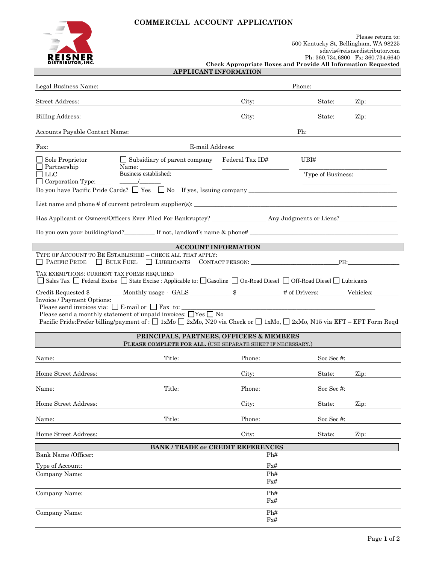# **COMMERCIAL ACCOUNT APPLICATION**



|                              | <b>Check Appropriate Boxes and Provide All Information Requested</b> |  |
|------------------------------|----------------------------------------------------------------------|--|
| <b>APPLICANT INFORMATION</b> |                                                                      |  |

| Legal Business Name:                                                                                                                                                                                                                                                                                                                                                                                |                                                                                                                       |                            | Phone:            |                       |
|-----------------------------------------------------------------------------------------------------------------------------------------------------------------------------------------------------------------------------------------------------------------------------------------------------------------------------------------------------------------------------------------------------|-----------------------------------------------------------------------------------------------------------------------|----------------------------|-------------------|-----------------------|
| <b>Street Address:</b>                                                                                                                                                                                                                                                                                                                                                                              |                                                                                                                       | City:                      | State:            | $\operatorname{Zip:}$ |
| <b>Billing Address:</b>                                                                                                                                                                                                                                                                                                                                                                             |                                                                                                                       | City:                      | State:            | Zip:                  |
| Accounts Payable Contact Name:                                                                                                                                                                                                                                                                                                                                                                      |                                                                                                                       |                            | Ph:               |                       |
| Fax:                                                                                                                                                                                                                                                                                                                                                                                                | E-mail Address:                                                                                                       |                            |                   |                       |
| $\Box$ Sole Proprietor                                                                                                                                                                                                                                                                                                                                                                              | $\Box$ Subsidiary of parent company                                                                                   | Federal Tax ID#            | UBI#              |                       |
| $\Box$ Partnership<br>$\Box$ LLC                                                                                                                                                                                                                                                                                                                                                                    | Name:<br>Business established:                                                                                        |                            | Type of Business: |                       |
| Corporation Type:                                                                                                                                                                                                                                                                                                                                                                                   |                                                                                                                       |                            |                   |                       |
|                                                                                                                                                                                                                                                                                                                                                                                                     |                                                                                                                       |                            |                   |                       |
|                                                                                                                                                                                                                                                                                                                                                                                                     |                                                                                                                       |                            |                   |                       |
|                                                                                                                                                                                                                                                                                                                                                                                                     | Do you own your building/land? ____________ If not, landlord's name & phone# _________________________________        |                            |                   |                       |
|                                                                                                                                                                                                                                                                                                                                                                                                     |                                                                                                                       | <b>ACCOUNT INFORMATION</b> |                   |                       |
| $\Box$ Pacific Pride                                                                                                                                                                                                                                                                                                                                                                                | TYPE OF ACCOUNT TO BE ESTABLISHED - CHECK ALL THAT APPLY:<br>BULK FUEL LUBRICANTS CONTACT PERSON:                     |                            |                   | PH:                   |
| TAX EXEMPTIONS: CURRENT TAX FORMS REQUIRED                                                                                                                                                                                                                                                                                                                                                          | Sales Tax □ Federal Excise □ State Excise : Applicable to: □ Gasoline □ On-Road Diesel □ Off-Road Diesel □ Lubricants |                            |                   |                       |
| Credit Requested \$<br>Invoice / Payment Options:<br>Please send invoices via: $\Box$ E-mail or $\Box$ Fax to: $\Box$<br><u> 1980 - Johann Barbara, martxa alemaniar a</u><br>Please send a monthly statement of unpaid invoices: $\Box$ Yes $\Box$ No<br>Pacific Pride:Prefer billing/payment of : $\Box$ 1xMo $\Box$ 2xMo, N20 via Check or $\Box$ 1xMo, $\Box$ 2xMo, N15 via EFT – EFT Form Reqd |                                                                                                                       |                            |                   |                       |
| PRINCIPALS, PARTNERS, OFFICERS & MEMBERS<br>PLEASE COMPLETE FOR ALL. (USE SEPARATE SHEET IF NECESSARY.)                                                                                                                                                                                                                                                                                             |                                                                                                                       |                            |                   |                       |
| Name:                                                                                                                                                                                                                                                                                                                                                                                               | Title:                                                                                                                | Phone:                     | Soc Sec#:         |                       |
| Home Street Address:                                                                                                                                                                                                                                                                                                                                                                                |                                                                                                                       | City:                      | State:            | Zip:                  |
| Name:                                                                                                                                                                                                                                                                                                                                                                                               | Title:                                                                                                                | Phone:                     | Soc Sec#:         |                       |
| Home Street Address:                                                                                                                                                                                                                                                                                                                                                                                |                                                                                                                       | City:                      | State:            | Zip:                  |
| Name:                                                                                                                                                                                                                                                                                                                                                                                               | Title:                                                                                                                | Phone:                     | Soc Sec#:         |                       |
| Home Street Address:                                                                                                                                                                                                                                                                                                                                                                                |                                                                                                                       | City:                      | State:            | Zip:                  |
|                                                                                                                                                                                                                                                                                                                                                                                                     | <b>BANK / TRADE or CREDIT REFERENCES</b>                                                                              |                            |                   |                       |
| Bank Name /Officer:                                                                                                                                                                                                                                                                                                                                                                                 |                                                                                                                       | Ph#                        |                   |                       |
| Type of Account:                                                                                                                                                                                                                                                                                                                                                                                    |                                                                                                                       | Fx#<br>Ph#                 |                   |                       |
| Company Name:                                                                                                                                                                                                                                                                                                                                                                                       |                                                                                                                       | Fx#                        |                   |                       |
| Company Name:                                                                                                                                                                                                                                                                                                                                                                                       |                                                                                                                       | Ph#                        |                   |                       |
|                                                                                                                                                                                                                                                                                                                                                                                                     |                                                                                                                       | Fx#                        |                   |                       |
| Company Name:                                                                                                                                                                                                                                                                                                                                                                                       |                                                                                                                       | Ph#<br>$\rm{Fx\#}$         |                   |                       |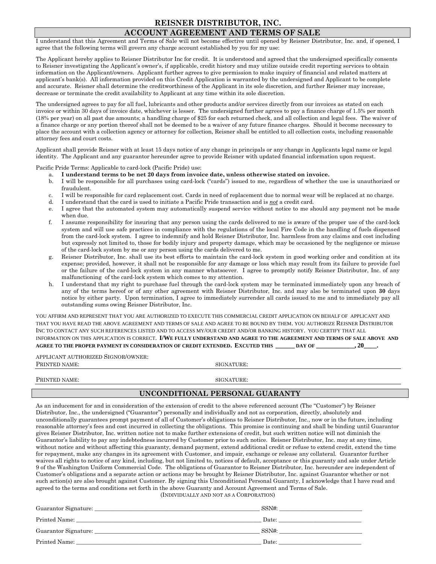### **REISNER DISTRIBUTOR, INC. ACCOUNT AGREEMENT AND TERMS OF SALE**

I understand that this Agreement and Terms of Sale will not become effective until opened by Reisner Distributor, Inc. and, if opened, I agree that the following terms will govern any charge account established by you for my use:

The Applicant hereby applies to Reisner Distributor Inc for credit. It is understood and agreed that the undersigned specifically consents to Reisner investigating the Applicant's owner's, if applicable, credit history and may utilize outside credit reporting services to obtain information on the Applicant/owners. Applicant further agrees to give permission to make inquiry of financial and related matters at applicant's bank(s). All information provided on this Credit Application is warranted by the undersigned and Applicant to be complete and accurate. Reisner shall determine the creditworthiness of the Applicant in its sole discretion, and further Reisner may increase, decrease or terminate the credit availability to Applicant at any time within its sole discretion.

The undersigned agrees to pay for all fuel, lubricants and other products and/or services directly from our invoices as stated on each invoice or within 30 days of invoice date, whichever is lesser. The undersigned further agrees to pay a finance charge of 1.5% per month (18% per year) on all past due amounts; a handling charge of \$25 for each returned check, and all collection and legal fees. The waiver of a finance charge or any portion thereof shall not be deemed to be a waiver of any future finance charges. Should it become necessary to place the account with a collection agency or attorney for collection, Reisner shall be entitled to all collection costs, including reasonable attorney fees and court costs.

Applicant shall provide Reisner with at least 15 days notice of any change in principals or any change in Applicants legal name or legal identity. The Applicant and any guarantor hereunder agree to provide Reisner with updated financial information upon request.

Pacific Pride Terms: Applicable to card-lock (Pacific Pride) use:

- a. **I understand terms to be net 20 days from invoice date, unless otherwise stated on invoice.**
- b. I will be responsible for all purchases using card-lock ("cards") issued to me, regardless of whether the use is unauthorized or fraudulent.
- c. I will be responsible for card replacement cost. Cards in need of replacement due to normal wear will be replaced at no charge.
- d. I understand that the card is used to initiate a Pacific Pride transaction and is *not* a credit card.
- e. I agree that the automated system may automatically suspend service without notice to me should any payment not be made when due.
- f. I assume responsibility for insuring that any person using the cards delivered to me is aware of the proper use of the card-lock system and will use safe practices in compliance with the regulations of the local Fire Code in the handling of fuels dispensed from the card-lock system. I agree to indemnify and hold Reisner Distributor, Inc. harmless from any claims and cost including but expressly not limited to, those for bodily injury and property damage, which may be occasioned by the negligence or misuse of the card-lock system by me or any person using the cards delivered to me.
- g. Reisner Distributor, Inc. shall use its best efforts to maintain the card-lock system in good working order and condition at its expense; provided, however, it shall not be responsible for any damage or loss which may result from its failure to provide fuel or the failure of the card-lock system in any manner whatsoever. I agree to promptly notify Reisner Distributor, Inc. of any malfunctioning of the card-lock system which comes to my attention.
- h. I understand that my right to purchase fuel through the card-lock system may be terminated immediately upon any breach of any of the terms hereof or of any other agreement with Reisner Distributor, Inc. and may also be terminated upon **30** days notice by either party. Upon termination, I agree to immediately surrender all cards issued to me and to immediately pay all outstanding sums owing Reisner Distributor, Inc.

YOU AFFIRM AND REPRESENT THAT YOU ARE AUTHORIZED TO EXECUTE THIS COMMERCIAL CREDIT APPLICATION ON BEHALF OF APPLICANT AND THAT YOU HAVE READ THE ABOVE AGREEMENT AND TERMS OF SALE AND AGREE TO BE BOUND BY THEM. YOU AUTHORIZE REISNER DISTRIBUTOR INC TO CONTACT ANY SUCH REFERENCES LISTED AND TO ACCESS MY/OUR CREDIT AND/OR BANKING HISTORY. YOU CERTIFY THAT ALL INFORMATION ON THIS APPLICATION IS CORRECT. **I/WE FULLY UNDERSTAND AND AGREE TO THE AGREEMENT AND TERMS OF SALE ABOVE AND AGREE TO THE PROPER PAYMENT IN CONSIDERATION OF CREDIT EXTENDED. EXCUTED THIS \_\_\_\_\_\_ DAY OF \_\_\_\_\_\_\_\_\_\_\_\_, 20\_\_\_\_.**

| APPLICANT AUTHORIZED SIGNOR/OWNER: |            |  |  |  |  |
|------------------------------------|------------|--|--|--|--|
| PRINTED NAME:                      | SIGNATURE: |  |  |  |  |
|                                    |            |  |  |  |  |
| PRINTED NAME:                      | SIGNATURE: |  |  |  |  |

### **UNCONDITIONAL PERSONAL GUARANTY**

As an inducement for and in consideration of the extension of credit to the above referenced account (The "Customer") by Reisner Distributor, Inc., the undersigned ("Guarantor") personally and individually and not as corporation, directly, absolutely and unconditionally guarantees prompt payment of all of Customer's obligations to Reisner Distributor, Inc., now or in the future, including reasonable attorney's fees and cost incurred in collecting the obligations. This promise is continuing and shall be binding until Guarantor gives Reisner Distributor, Inc. written notice not to make further extensions of credit, but such written notice will not diminish the Guarantor's liability to pay any indebtedness incurred by Customer prior to such notice. Reisner Distributor, Inc. may at any time, without notice and without affecting this guaranty, demand payment, extend additional credit or refuse to extend credit, extend the time for repayment, make any changes in its agreement with Customer, and impair, exchange or release any collateral. Guarantor further waives all rights to notice of any kind, including, but not limited to, notices of default, acceptance or this guaranty and sale under Article 9 of the Washington Uniform Commercial Code. The obligations of Guarantor to Reisner Distributor, Inc. hereunder are independent of Customer's obligations and a separate action or actions may be brought by Reisner Distributor, Inc. against Guarantor whether or not such action(s) are also brought against Customer. By signing this Unconditional Personal Guaranty, I acknowledge that I have read and agreed to the terms and conditions set forth in the above Guaranty and Account Agreement and Terms of Sale. (INDIVIDUALLY AND NOT AS A CORPORATION)

Guarantor Signature: \_\_\_\_\_\_\_\_\_\_\_\_\_\_\_\_\_\_\_\_\_\_\_\_\_\_\_\_\_\_\_\_\_\_\_\_\_\_\_\_\_\_\_\_\_\_\_\_\_\_\_\_\_\_\_\_\_\_ SSN#: \_\_\_\_\_\_\_\_\_\_\_\_\_\_\_\_\_\_\_\_\_\_\_\_\_\_\_\_\_ Printed Name: \_\_\_\_\_\_\_\_\_\_\_\_\_\_\_\_\_\_\_\_\_\_\_\_\_\_\_\_\_\_\_\_\_\_\_\_\_\_\_\_\_\_\_\_\_\_\_\_\_\_\_\_\_\_\_\_\_\_\_\_\_\_\_\_\_ Date: \_\_\_\_\_\_\_\_\_\_\_\_\_\_\_\_\_\_\_\_\_\_\_\_\_\_\_\_\_ Guarantor Signature: \_\_\_\_\_\_\_\_\_\_\_\_\_\_\_\_\_\_\_\_\_\_\_\_\_\_\_\_\_\_\_\_\_\_\_\_\_\_\_\_\_\_\_\_\_\_\_\_\_\_\_\_\_\_\_\_\_\_ SSN#: \_\_\_\_\_\_\_\_\_\_\_\_\_\_\_\_\_\_\_\_\_\_\_\_\_\_\_\_\_ Printed Name: \_\_\_\_\_\_\_\_\_\_\_\_\_\_\_\_\_\_\_\_\_\_\_\_\_\_\_\_\_\_\_\_\_\_\_\_\_\_\_\_\_\_\_\_\_\_\_\_\_\_\_\_\_\_\_\_\_\_\_\_\_\_\_\_\_ Date: \_\_\_\_\_\_\_\_\_\_\_\_\_\_\_\_\_\_\_\_\_\_\_\_\_\_\_\_\_